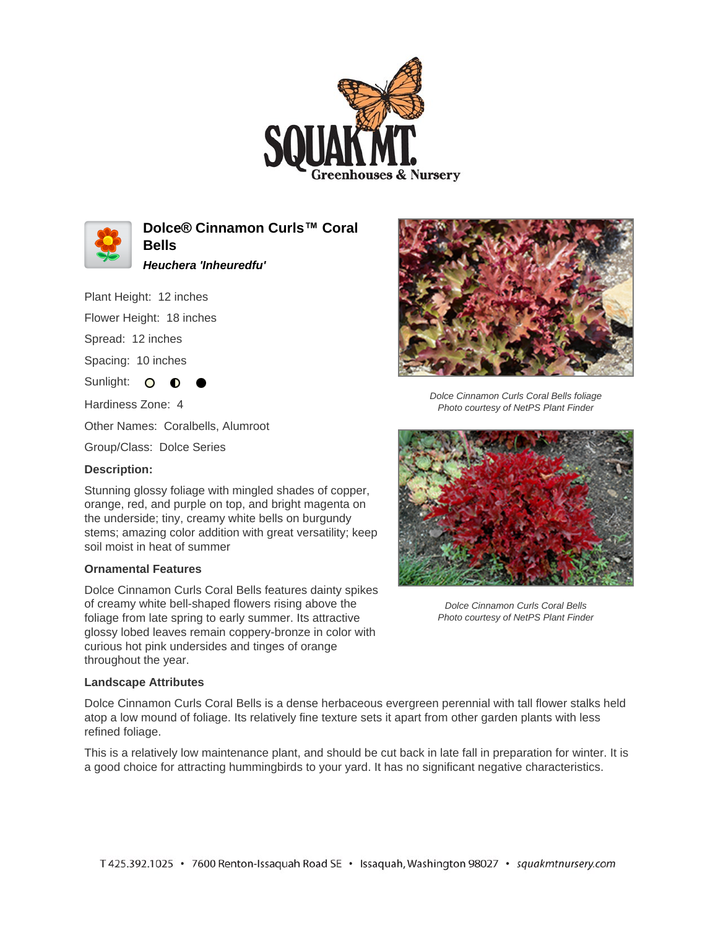



**Dolce® Cinnamon Curls™ Coral Bells**

**Heuchera 'Inheuredfu'**

Plant Height: 12 inches

Flower Height: 18 inches

Spread: 12 inches

Spacing: 10 inches

Sunlight: O **O** 

Hardiness Zone: 4

Other Names: Coralbells, Alumroot

Group/Class: Dolce Series

## **Description:**

Stunning glossy foliage with mingled shades of copper, orange, red, and purple on top, and bright magenta on the underside; tiny, creamy white bells on burgundy stems; amazing color addition with great versatility; keep soil moist in heat of summer

## **Ornamental Features**

Dolce Cinnamon Curls Coral Bells features dainty spikes of creamy white bell-shaped flowers rising above the foliage from late spring to early summer. Its attractive glossy lobed leaves remain coppery-bronze in color with curious hot pink undersides and tinges of orange throughout the year.

## **Landscape Attributes**

Dolce Cinnamon Curls Coral Bells is a dense herbaceous evergreen perennial with tall flower stalks held atop a low mound of foliage. Its relatively fine texture sets it apart from other garden plants with less refined foliage.

This is a relatively low maintenance plant, and should be cut back in late fall in preparation for winter. It is a good choice for attracting hummingbirds to your yard. It has no significant negative characteristics.



Dolce Cinnamon Curls Coral Bells foliage Photo courtesy of NetPS Plant Finder



Dolce Cinnamon Curls Coral Bells Photo courtesy of NetPS Plant Finder